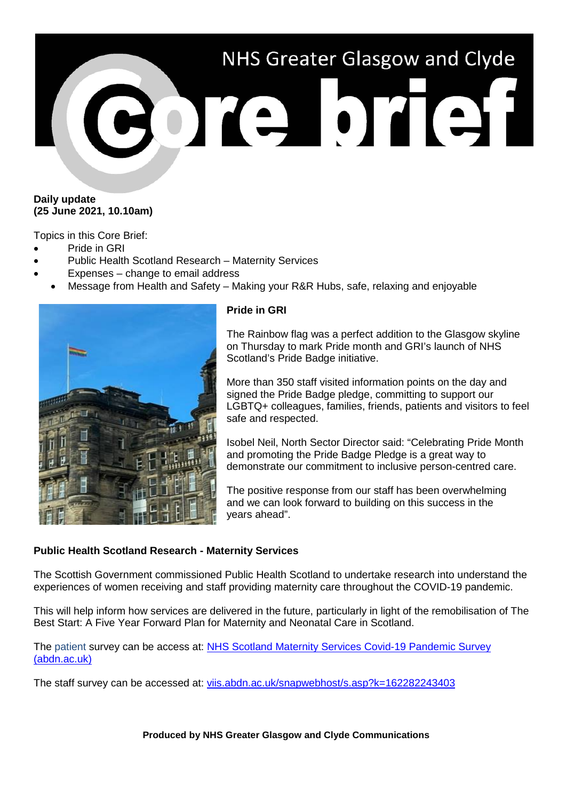# NHS Greater Glasgow and Clyde **BOTE DTET1**

### **Daily update (25 June 2021, 10.10am)**

Topics in this Core Brief:

- Pride in GRI
- Public Health Scotland Research Maternity Services
- Expenses change to email address
- Message from Health and Safety Making your R&R Hubs, safe, relaxing and enjoyable



# **Pride in GRI**

The Rainbow flag was a perfect addition to the Glasgow skyline on Thursday to mark Pride month and GRI's launch of NHS Scotland's Pride Badge initiative.

More than 350 staff visited information points on the day and signed the Pride Badge pledge, committing to support our LGBTQ+ colleagues, families, friends, patients and visitors to feel safe and respected.

Isobel Neil, North Sector Director said: "Celebrating Pride Month and promoting the Pride Badge Pledge is a great way to demonstrate our commitment to inclusive person-centred care.

The positive response from our staff has been overwhelming and we can look forward to building on this success in the years ahead".

# **Public Health Scotland Research - Maternity Services**

The Scottish Government commissioned Public Health Scotland to undertake research into understand the experiences of women receiving and staff providing maternity care throughout the COVID-19 pandemic.

This will help inform how services are delivered in the future, particularly in light of the remobilisation of The Best Start: A Five Year Forward Plan for Maternity and Neonatal Care in Scotland.

The patient survey can be access at: NHS Scotland Maternity Services Covid-19 Pandemic Survey [\(abdn.ac.uk\)](http://viis.abdn.ac.uk/snapwebhost/s.asp?k=162301883557)

The staff survey can be accessed at: [viis.abdn.ac.uk/snapwebhost/s.asp?k=162282243403](http://viis.abdn.ac.uk/snapwebhost/s.asp?k=162282243403)

**Produced by NHS Greater Glasgow and Clyde Communications**